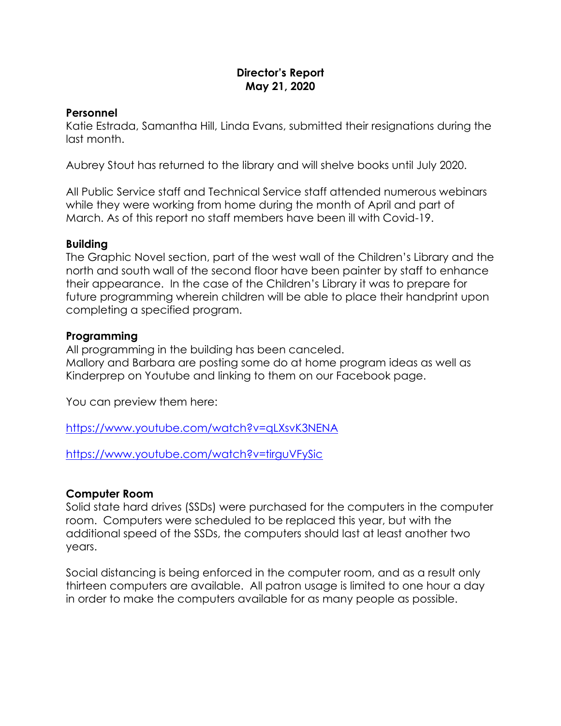# **Director's Report May 21, 2020**

## **Personnel**

Katie Estrada, Samantha Hill, Linda Evans, submitted their resignations during the last month.

Aubrey Stout has returned to the library and will shelve books until July 2020.

All Public Service staff and Technical Service staff attended numerous webinars while they were working from home during the month of April and part of March. As of this report no staff members have been ill with Covid-19.

## **Building**

The Graphic Novel section, part of the west wall of the Children's Library and the north and south wall of the second floor have been painter by staff to enhance their appearance. In the case of the Children's Library it was to prepare for future programming wherein children will be able to place their handprint upon completing a specified program.

## **Programming**

All programming in the building has been canceled.

Mallory and Barbara are posting some do at home program ideas as well as Kinderprep on Youtube and linking to them on our Facebook page.

You can preview them here:

<https://www.youtube.com/watch?v=qLXsvK3NENA>

<https://www.youtube.com/watch?v=tirguVFySic>

# **Computer Room**

Solid state hard drives (SSDs) were purchased for the computers in the computer room. Computers were scheduled to be replaced this year, but with the additional speed of the SSDs, the computers should last at least another two years.

Social distancing is being enforced in the computer room, and as a result only thirteen computers are available. All patron usage is limited to one hour a day in order to make the computers available for as many people as possible.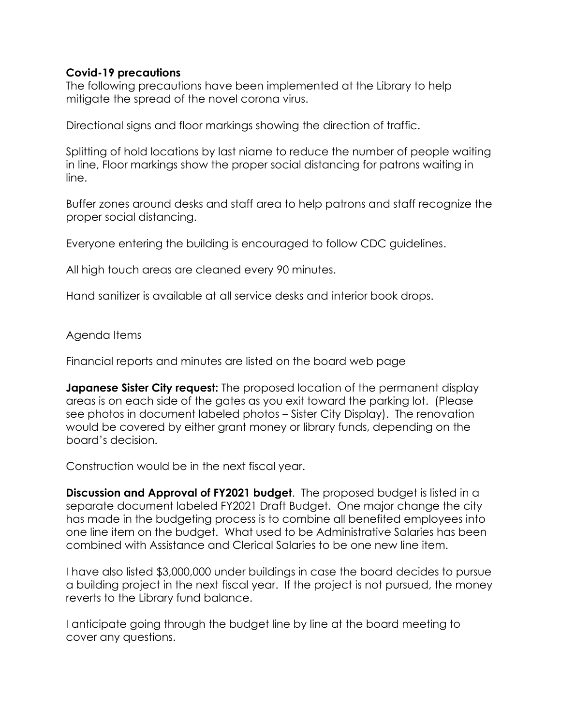### **Covid-19 precautions**

The following precautions have been implemented at the Library to help mitigate the spread of the novel corona virus.

Directional signs and floor markings showing the direction of traffic.

Splitting of hold locations by last niame to reduce the number of people waiting in line, Floor markings show the proper social distancing for patrons waiting in line.

Buffer zones around desks and staff area to help patrons and staff recognize the proper social distancing.

Everyone entering the building is encouraged to follow CDC guidelines.

All high touch areas are cleaned every 90 minutes.

Hand sanitizer is available at all service desks and interior book drops.

Agenda Items

Financial reports and minutes are listed on the board web page

**Japanese Sister City request:** The proposed location of the permanent display areas is on each side of the gates as you exit toward the parking lot. (Please see photos in document labeled photos – Sister City Display). The renovation would be covered by either grant money or library funds, depending on the board's decision.

Construction would be in the next fiscal year.

**Discussion and Approval of FY2021 budget**. The proposed budget is listed in a separate document labeled FY2021 Draft Budget. One major change the city has made in the budgeting process is to combine all benefited employees into one line item on the budget. What used to be Administrative Salaries has been combined with Assistance and Clerical Salaries to be one new line item.

I have also listed \$3,000,000 under buildings in case the board decides to pursue a building project in the next fiscal year. If the project is not pursued, the money reverts to the Library fund balance.

I anticipate going through the budget line by line at the board meeting to cover any questions.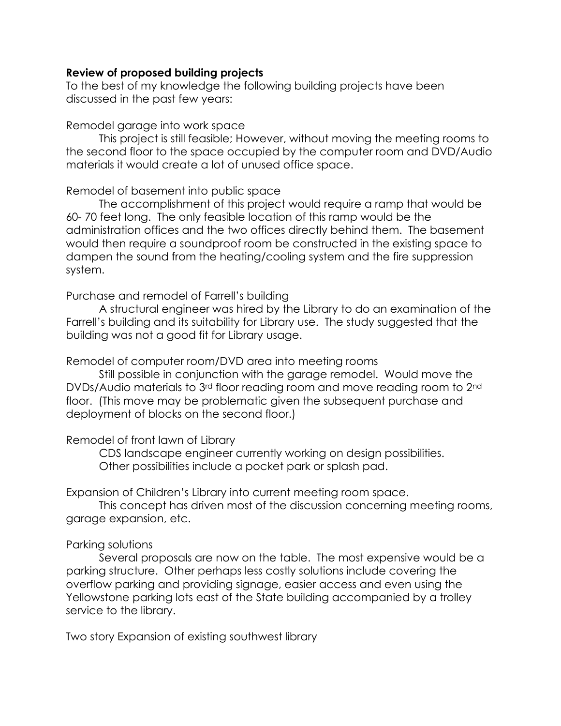#### **Review of proposed building projects**

To the best of my knowledge the following building projects have been discussed in the past few years:

#### Remodel garage into work space

This project is still feasible; However, without moving the meeting rooms to the second floor to the space occupied by the computer room and DVD/Audio materials it would create a lot of unused office space.

## Remodel of basement into public space

The accomplishment of this project would require a ramp that would be 60- 70 feet long. The only feasible location of this ramp would be the administration offices and the two offices directly behind them. The basement would then require a soundproof room be constructed in the existing space to dampen the sound from the heating/cooling system and the fire suppression system.

## Purchase and remodel of Farrell's building

A structural engineer was hired by the Library to do an examination of the Farrell's building and its suitability for Library use. The study suggested that the building was not a good fit for Library usage.

### Remodel of computer room/DVD area into meeting rooms

Still possible in conjunction with the garage remodel. Would move the DVDs/Audio materials to 3rd floor reading room and move reading room to 2nd floor. (This move may be problematic given the subsequent purchase and deployment of blocks on the second floor.)

### Remodel of front lawn of Library

CDS landscape engineer currently working on design possibilities. Other possibilities include a pocket park or splash pad.

Expansion of Children's Library into current meeting room space.

This concept has driven most of the discussion concerning meeting rooms, garage expansion, etc.

# Parking solutions

Several proposals are now on the table. The most expensive would be a parking structure. Other perhaps less costly solutions include covering the overflow parking and providing signage, easier access and even using the Yellowstone parking lots east of the State building accompanied by a trolley service to the library.

Two story Expansion of existing southwest library